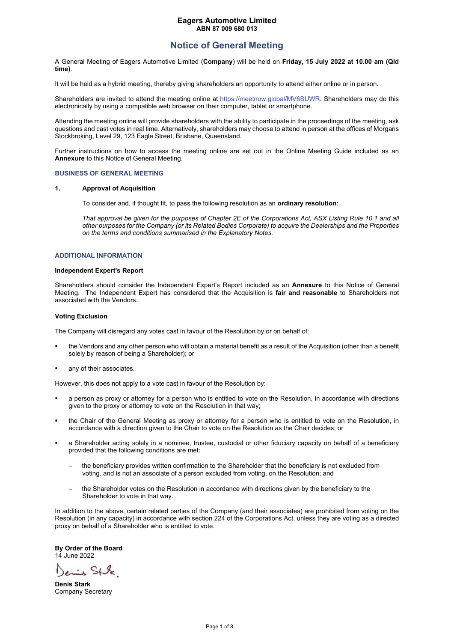#### **Eagers Automotive Limited ABN 87 009 680 013**

#### **Notice of General Meeting**

A General Meeting of Eagers Automotive Limited (**Company**) will be held on **Friday, 15 July 2022 at 10.00 am (Qld time)**.

It will be held as a hybrid meeting, thereby giving shareholders an opportunity to attend either online or in person.

Shareholders are invited to attend the meeting online at https://meetnow.global/MV6SUWR. Shareholders may do this electronically by using a compatible web browser on their computer, tablet or smartphone.

Attending the meeting online will provide shareholders with the ability to participate in the proceedings of the meeting, ask questions and cast votes in real time. Alternatively, shareholders may choose to attend in person at the offices of Morgans Stockbroking, Level 29, 123 Eagle Street, Brisbane, Queensland.

Further instructions on how to access the meeting online are set out in the Online Meeting Guide included as an **Annexure** to this Notice of General Meeting.

#### **BUSINESS OF GENERAL MEETING**

#### **1. Approval of Acquisition**

To consider and, if thought fit, to pass the following resolution as an **ordinary resolution**:

*That approval be given for the purposes of Chapter 2E of the Corporations Act, ASX Listing Rule 10.1 and all other purposes for the Company (or its Related Bodies Corporate) to acquire the Dealerships and the Properties on the terms and conditions summarised in the Explanatory Notes.* 

#### **ADDITIONAL INFORMATION**

#### **Independent Expert's Report**

Shareholders should consider the Independent Expert's Report included as an **Annexure** to this Notice of General Meeting. The Independent Expert has considered that the Acquisition is **fair and reasonable** to Shareholders not associated with the Vendors.

#### **Voting Exclusion**

The Company will disregard any votes cast in favour of the Resolution by or on behalf of:

- the Vendors and any other person who will obtain a material benefit as a result of the Acquisition (other than a benefit solely by reason of being a Shareholder); or
- any of their associates.

However, this does not apply to a vote cast in favour of the Resolution by:

- a person as proxy or attorney for a person who is entitled to vote on the Resolution, in accordance with directions given to the proxy or attorney to vote on the Resolution in that way;
- the Chair of the General Meeting as proxy or attorney for a person who is entitled to vote on the Resolution, in accordance with a direction given to the Chair to vote on the Resolution as the Chair decides; or
- a Shareholder acting solely in a nominee, trustee, custodial or other fiduciary capacity on behalf of a beneficiary provided that the following conditions are met:
	- the beneficiary provides written confirmation to the Shareholder that the beneficiary is not excluded from voting, and is not an associate of a person excluded from voting, on the Resolution; and
	- − the Shareholder votes on the Resolution in accordance with directions given by the beneficiary to the Shareholder to vote in that way.

In addition to the above, certain related parties of the Company (and their associates) are prohibited from voting on the Resolution (in any capacity) in accordance with section 224 of the Corporations Act, unless they are voting as a directed proxy on behalf of a Shareholder who is entitled to vote.

**By Order of the Board**  14 June 2022

eris Ste

**Denis Stark**  Company Secretary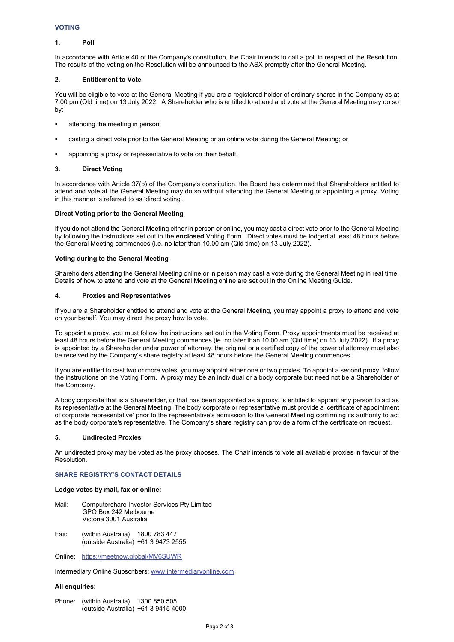#### **VOTING**

#### **1. Poll**

In accordance with Article 40 of the Company's constitution, the Chair intends to call a poll in respect of the Resolution. The results of the voting on the Resolution will be announced to the ASX promptly after the General Meeting.

#### **2. Entitlement to Vote**

You will be eligible to vote at the General Meeting if you are a registered holder of ordinary shares in the Company as at 7.00 pm (Qld time) on 13 July 2022. A Shareholder who is entitled to attend and vote at the General Meeting may do so by:

- **attending the meeting in person;**
- casting a direct vote prior to the General Meeting or an online vote during the General Meeting; or
- appointing a proxy or representative to vote on their behalf.

#### **3. Direct Voting**

In accordance with Article 37(b) of the Company's constitution, the Board has determined that Shareholders entitled to attend and vote at the General Meeting may do so without attending the General Meeting or appointing a proxy. Voting in this manner is referred to as 'direct voting'.

#### **Direct Voting prior to the General Meeting**

If you do not attend the General Meeting either in person or online, you may cast a direct vote prior to the General Meeting by following the instructions set out in the **enclosed** Voting Form. Direct votes must be lodged at least 48 hours before the General Meeting commences (i.e. no later than 10.00 am (Qld time) on 13 July 2022).

#### **Voting during to the General Meeting**

Shareholders attending the General Meeting online or in person may cast a vote during the General Meeting in real time. Details of how to attend and vote at the General Meeting online are set out in the Online Meeting Guide.

#### **4. Proxies and Representatives**

If you are a Shareholder entitled to attend and vote at the General Meeting, you may appoint a proxy to attend and vote on your behalf. You may direct the proxy how to vote.

To appoint a proxy, you must follow the instructions set out in the Voting Form. Proxy appointments must be received at least 48 hours before the General Meeting commences (ie. no later than 10.00 am (Qld time) on 13 July 2022). If a proxy is appointed by a Shareholder under power of attorney, the original or a certified copy of the power of attorney must also be received by the Company's share registry at least 48 hours before the General Meeting commences.

If you are entitled to cast two or more votes, you may appoint either one or two proxies. To appoint a second proxy, follow the instructions on the Voting Form. A proxy may be an individual or a body corporate but need not be a Shareholder of the Company.

A body corporate that is a Shareholder, or that has been appointed as a proxy, is entitled to appoint any person to act as its representative at the General Meeting. The body corporate or representative must provide a 'certificate of appointment of corporate representative' prior to the representative's admission to the General Meeting confirming its authority to act as the body corporate's representative. The Company's share registry can provide a form of the certificate on request.

#### **5. Undirected Proxies**

An undirected proxy may be voted as the proxy chooses. The Chair intends to vote all available proxies in favour of the Resolution.

#### **SHARE REGISTRY'S CONTACT DETAILS**

**Lodge votes by mail, fax or online:** 

- Mail: Computershare Investor Services Pty Limited GPO Box 242 Melbourne Victoria 3001 Australia
- Fax: (within Australia) 1800 783 447 (outside Australia) +61 3 9473 2555

Online: https://meetnow.global/MV6SUWR

Intermediary Online Subscribers: www.intermediaryonline.com

#### **All enquiries:**

Phone: (within Australia) 1300 850 505 (outside Australia) +61 3 9415 4000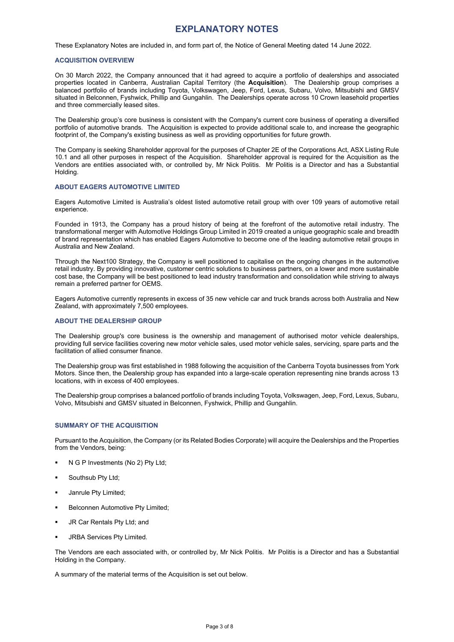#### **EXPLANATORY NOTES**

These Explanatory Notes are included in, and form part of, the Notice of General Meeting dated 14 June 2022.

#### **ACQUISITION OVERVIEW**

On 30 March 2022, the Company announced that it had agreed to acquire a portfolio of dealerships and associated properties located in Canberra, Australian Capital Territory (the **Acquisition**). The Dealership group comprises a balanced portfolio of brands including Toyota, Volkswagen, Jeep, Ford, Lexus, Subaru, Volvo, Mitsubishi and GMSV situated in Belconnen, Fyshwick, Phillip and Gungahlin. The Dealerships operate across 10 Crown leasehold properties and three commercially leased sites.

The Dealership group's core business is consistent with the Company's current core business of operating a diversified portfolio of automotive brands. The Acquisition is expected to provide additional scale to, and increase the geographic footprint of, the Company's existing business as well as providing opportunities for future growth.

The Company is seeking Shareholder approval for the purposes of Chapter 2E of the Corporations Act, ASX Listing Rule 10.1 and all other purposes in respect of the Acquisition. Shareholder approval is required for the Acquisition as the Vendors are entities associated with, or controlled by, Mr Nick Politis. Mr Politis is a Director and has a Substantial Holding.

#### **ABOUT EAGERS AUTOMOTIVE LIMITED**

Eagers Automotive Limited is Australia's oldest listed automotive retail group with over 109 years of automotive retail experience.

Founded in 1913, the Company has a proud history of being at the forefront of the automotive retail industry. The transformational merger with Automotive Holdings Group Limited in 2019 created a unique geographic scale and breadth of brand representation which has enabled Eagers Automotive to become one of the leading automotive retail groups in Australia and New Zealand.

Through the Next100 Strategy, the Company is well positioned to capitalise on the ongoing changes in the automotive retail industry. By providing innovative, customer centric solutions to business partners, on a lower and more sustainable cost base, the Company will be best positioned to lead industry transformation and consolidation while striving to always remain a preferred partner for OEMS.

Eagers Automotive currently represents in excess of 35 new vehicle car and truck brands across both Australia and New Zealand, with approximately 7,500 employees.

#### **ABOUT THE DEALERSHIP GROUP**

The Dealership group's core business is the ownership and management of authorised motor vehicle dealerships, providing full service facilities covering new motor vehicle sales, used motor vehicle sales, servicing, spare parts and the facilitation of allied consumer finance.

The Dealership group was first established in 1988 following the acquisition of the Canberra Toyota businesses from York Motors. Since then, the Dealership group has expanded into a large-scale operation representing nine brands across 13 locations, with in excess of 400 employees.

The Dealership group comprises a balanced portfolio of brands including Toyota, Volkswagen, Jeep, Ford, Lexus, Subaru, Volvo, Mitsubishi and GMSV situated in Belconnen, Fyshwick, Phillip and Gungahlin.

#### **SUMMARY OF THE ACQUISITION**

Pursuant to the Acquisition, the Company (or its Related Bodies Corporate) will acquire the Dealerships and the Properties from the Vendors, being:

- N G P Investments (No 2) Pty Ltd;
- Southsub Pty Ltd;
- **Janrule Pty Limited;**
- Belconnen Automotive Pty Limited;
- JR Car Rentals Pty Ltd; and
- JRBA Services Pty Limited.

The Vendors are each associated with, or controlled by, Mr Nick Politis. Mr Politis is a Director and has a Substantial Holding in the Company.

A summary of the material terms of the Acquisition is set out below.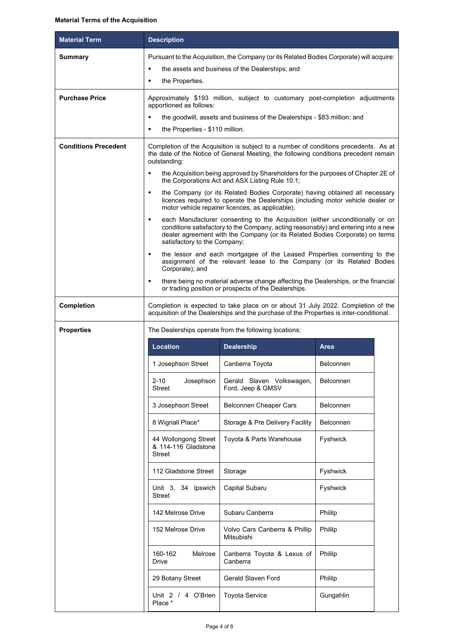| <b>Material Term</b>        | <b>Description</b>                                              |                                                                                                                                                                                                                                                     |                  |
|-----------------------------|-----------------------------------------------------------------|-----------------------------------------------------------------------------------------------------------------------------------------------------------------------------------------------------------------------------------------------------|------------------|
| <b>Summary</b>              | ٠<br>the Properties.<br>٠                                       | Pursuant to the Acquisition, the Company (or its Related Bodies Corporate) will acquire:<br>the assets and business of the Dealerships; and                                                                                                         |                  |
| <b>Purchase Price</b>       | apportioned as follows:<br>the Properties - \$110 million.<br>п | Approximately \$193 million, subject to customary post-completion adjustments<br>the goodwill, assets and business of the Dealerships - \$83 million; and                                                                                           |                  |
| <b>Conditions Precedent</b> | outstanding:                                                    | Completion of the Acquisition is subject to a number of conditions precedents. As at<br>the date of the Notice of General Meeting, the following conditions precedent remain                                                                        |                  |
|                             |                                                                 | the Acquisition being approved by Shareholders for the purposes of Chapter 2E of<br>the Corporations Act and ASX Listing Rule 10.1;                                                                                                                 |                  |
|                             | $\blacksquare$                                                  | the Company (or its Related Bodies Corporate) having obtained all necessary<br>licences required to operate the Dealerships (including motor vehicle dealer or<br>motor vehicle repairer licences, as applicable);                                  |                  |
|                             | ٠<br>satisfactory to the Company;                               | each Manufacturer consenting to the Acquisition (either unconditionally or on<br>conditions satisfactory to the Company, acting reasonably) and entering into a new<br>dealer agreement with the Company (or its Related Bodies Corporate) on terms |                  |
|                             | ٠<br>Corporate); and                                            | the lessor and each mortgagee of the Leased Properties consenting to the<br>assignment of the relevant lease to the Company (or its Related Bodies                                                                                                  |                  |
|                             | ٠                                                               | there being no material adverse change affecting the Dealerships, or the financial<br>or trading position or prospects of the Dealerships.                                                                                                          |                  |
| Completion                  |                                                                 | Completion is expected to take place on or about 31 July 2022. Completion of the<br>acquisition of the Dealerships and the purchase of the Properties is inter-conditional.                                                                         |                  |
| <b>Properties</b>           |                                                                 | The Dealerships operate from the following locations:                                                                                                                                                                                               |                  |
|                             | <b>Location</b>                                                 | <b>Dealership</b>                                                                                                                                                                                                                                   | <b>Area</b>      |
|                             | 1 Josephson Street                                              | Canberra Toyota                                                                                                                                                                                                                                     | Belconnen        |
|                             | $2 - 10$<br>Josephson<br><b>Street</b>                          | Gerald Slaven Volkswagen,<br>Ford, Jeep & GMSV                                                                                                                                                                                                      | Belconnen        |
|                             | 3 Josephson Street                                              | Belconnen Cheaper Cars                                                                                                                                                                                                                              | Belconnen        |
|                             | 8 Wignall Place*                                                | Storage & Pre Delivery Facility                                                                                                                                                                                                                     | <b>Belconnen</b> |
|                             | 44 Wollongong Street<br>& 114-116 Gladstone<br><b>Street</b>    | Toyota & Parts Warehouse                                                                                                                                                                                                                            | Fyshwick         |
|                             | 112 Gladstone Street                                            | Storage                                                                                                                                                                                                                                             | Fyshwick         |
|                             | Unit 3, 34 Ipswich<br><b>Street</b>                             | Capital Subaru                                                                                                                                                                                                                                      | Fyshwick         |
|                             | 142 Melrose Drive                                               | Subaru Canberra                                                                                                                                                                                                                                     | Phililp          |
|                             | 152 Melrose Drive                                               | Volvo Cars Canberra & Phillip<br>Mitsubishi                                                                                                                                                                                                         | Phililp          |
|                             | 160-162<br>Melrose<br>Drive                                     | Canberra Toyota & Lexus of<br>Canberra                                                                                                                                                                                                              | Phililp          |
|                             | 29 Botany Street                                                | Gerald Slaven Ford                                                                                                                                                                                                                                  | Phililp          |
|                             | Unit $2 / 4$ O'Brien<br>Place *                                 | <b>Toyota Service</b>                                                                                                                                                                                                                               | Gungahlin        |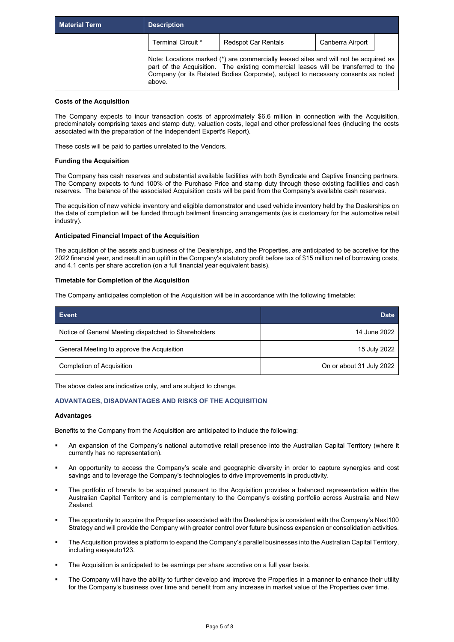| <b>Material Term</b> | <b>Description</b> |                                                                                                                                                                                                                                                                 |                  |  |
|----------------------|--------------------|-----------------------------------------------------------------------------------------------------------------------------------------------------------------------------------------------------------------------------------------------------------------|------------------|--|
|                      | Terminal Circuit * | <b>Redspot Car Rentals</b>                                                                                                                                                                                                                                      | Canberra Airport |  |
|                      | above.             | Note: Locations marked (*) are commercially leased sites and will not be acquired as<br>part of the Acquisition. The existing commercial leases will be transferred to the<br>Company (or its Related Bodies Corporate), subject to necessary consents as noted |                  |  |

#### **Costs of the Acquisition**

The Company expects to incur transaction costs of approximately \$6.6 million in connection with the Acquisition, predominately comprising taxes and stamp duty, valuation costs, legal and other professional fees (including the costs associated with the preparation of the Independent Expert's Report).

These costs will be paid to parties unrelated to the Vendors.

#### **Funding the Acquisition**

The Company has cash reserves and substantial available facilities with both Syndicate and Captive financing partners. The Company expects to fund 100% of the Purchase Price and stamp duty through these existing facilities and cash reserves. The balance of the associated Acquisition costs will be paid from the Company's available cash reserves.

The acquisition of new vehicle inventory and eligible demonstrator and used vehicle inventory held by the Dealerships on the date of completion will be funded through bailment financing arrangements (as is customary for the automotive retail industry).

#### **Anticipated Financial Impact of the Acquisition**

The acquisition of the assets and business of the Dealerships, and the Properties, are anticipated to be accretive for the 2022 financial year, and result in an uplift in the Company's statutory profit before tax of \$15 million net of borrowing costs, and 4.1 cents per share accretion (on a full financial year equivalent basis).

#### **Timetable for Completion of the Acquisition**

The Company anticipates completion of the Acquisition will be in accordance with the following timetable:

| Event                                                | <b>Date</b>              |
|------------------------------------------------------|--------------------------|
| Notice of General Meeting dispatched to Shareholders | 14 June 2022             |
| General Meeting to approve the Acquisition           | 15 July 2022             |
| Completion of Acquisition                            | On or about 31 July 2022 |

The above dates are indicative only, and are subject to change.

#### **ADVANTAGES, DISADVANTAGES AND RISKS OF THE ACQUISITION**

#### **Advantages**

Benefits to the Company from the Acquisition are anticipated to include the following:

- An expansion of the Company's national automotive retail presence into the Australian Capital Territory (where it currently has no representation).
- An opportunity to access the Company's scale and geographic diversity in order to capture synergies and cost savings and to leverage the Company's technologies to drive improvements in productivity.
- The portfolio of brands to be acquired pursuant to the Acquisition provides a balanced representation within the Australian Capital Territory and is complementary to the Company's existing portfolio across Australia and New Zealand.
- The opportunity to acquire the Properties associated with the Dealerships is consistent with the Company's Next100 Strategy and will provide the Company with greater control over future business expansion or consolidation activities.
- The Acquisition provides a platform to expand the Company's parallel businesses into the Australian Capital Territory, including easyauto123.
- The Acquisition is anticipated to be earnings per share accretive on a full year basis.
- The Company will have the ability to further develop and improve the Properties in a manner to enhance their utility for the Company's business over time and benefit from any increase in market value of the Properties over time.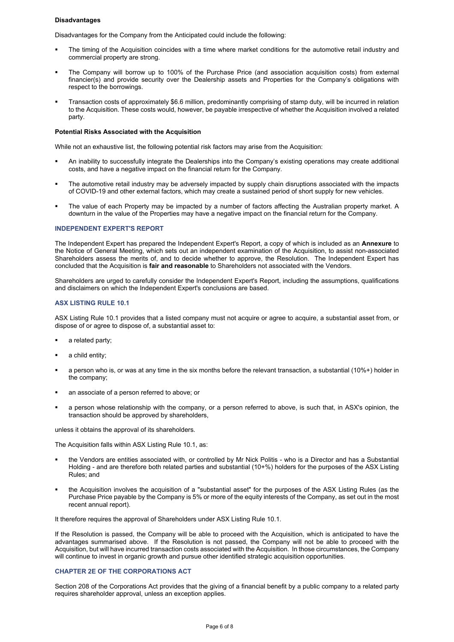#### **Disadvantages**

Disadvantages for the Company from the Anticipated could include the following:

- The timing of the Acquisition coincides with a time where market conditions for the automotive retail industry and commercial property are strong.
- The Company will borrow up to 100% of the Purchase Price (and association acquisition costs) from external financier(s) and provide security over the Dealership assets and Properties for the Company's obligations with respect to the borrowings.
- Transaction costs of approximately \$6.6 million, predominantly comprising of stamp duty, will be incurred in relation to the Acquisition. These costs would, however, be payable irrespective of whether the Acquisition involved a related party.

#### **Potential Risks Associated with the Acquisition**

While not an exhaustive list, the following potential risk factors may arise from the Acquisition:

- An inability to successfully integrate the Dealerships into the Company's existing operations may create additional costs, and have a negative impact on the financial return for the Company.
- The automotive retail industry may be adversely impacted by supply chain disruptions associated with the impacts of COVID-19 and other external factors, which may create a sustained period of short supply for new vehicles.
- The value of each Property may be impacted by a number of factors affecting the Australian property market. A downturn in the value of the Properties may have a negative impact on the financial return for the Company.

#### **INDEPENDENT EXPERT'S REPORT**

The Independent Expert has prepared the Independent Expert's Report, a copy of which is included as an **Annexure** to the Notice of General Meeting, which sets out an independent examination of the Acquisition, to assist non-associated Shareholders assess the merits of, and to decide whether to approve, the Resolution. The Independent Expert has concluded that the Acquisition is **fair and reasonable** to Shareholders not associated with the Vendors.

Shareholders are urged to carefully consider the Independent Expert's Report, including the assumptions, qualifications and disclaimers on which the Independent Expert's conclusions are based.

#### **ASX LISTING RULE 10.1**

ASX Listing Rule 10.1 provides that a listed company must not acquire or agree to acquire, a substantial asset from, or dispose of or agree to dispose of, a substantial asset to:

- a related party;
- a child entity;
- a person who is, or was at any time in the six months before the relevant transaction, a substantial (10%+) holder in the company;
- an associate of a person referred to above; or
- a person whose relationship with the company, or a person referred to above, is such that, in ASX's opinion, the transaction should be approved by shareholders,

unless it obtains the approval of its shareholders.

The Acquisition falls within ASX Listing Rule 10.1, as:

- the Vendors are entities associated with, or controlled by Mr Nick Politis who is a Director and has a Substantial Holding - and are therefore both related parties and substantial (10+%) holders for the purposes of the ASX Listing Rules; and
- the Acquisition involves the acquisition of a "substantial asset" for the purposes of the ASX Listing Rules (as the Purchase Price payable by the Company is 5% or more of the equity interests of the Company, as set out in the most recent annual report).

It therefore requires the approval of Shareholders under ASX Listing Rule 10.1.

If the Resolution is passed, the Company will be able to proceed with the Acquisition, which is anticipated to have the advantages summarised above. If the Resolution is not passed, the Company will not be able to proceed with the Acquisition, but will have incurred transaction costs associated with the Acquisition. In those circumstances, the Company will continue to invest in organic growth and pursue other identified strategic acquisition opportunities.

#### **CHAPTER 2E OF THE CORPORATIONS ACT**

Section 208 of the Corporations Act provides that the giving of a financial benefit by a public company to a related party requires shareholder approval, unless an exception applies.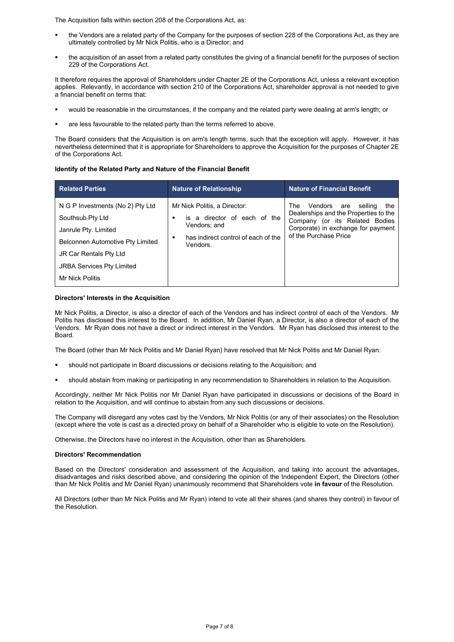The Acquisition falls within section 208 of the Corporations Act, as:

- the Vendors are a related party of the Company for the purposes of section 228 of the Corporations Act, as they are ultimately controlled by Mr Nick Politis, who is a Director; and
- the acquisition of an asset from a related party constitutes the giving of a financial benefit for the purposes of section 229 of the Corporations Act.

It therefore requires the approval of Shareholders under Chapter 2E of the Corporations Act, unless a relevant exception applies. Relevantly, in accordance with section 210 of the Corporations Act, shareholder approval is not needed to give a financial benefit on terms that:

- would be reasonable in the circumstances, if the company and the related party were dealing at arm's length; or
- are less favourable to the related party than the terms referred to above.

The Board considers that the Acquisition is on arm's length terms, such that the exception will apply. However, it has nevertheless determined that it is appropriate for Shareholders to approve the Acquisition for the purposes of Chapter 2E of the Corporations Act.

#### **Identify of the Related Party and Nature of the Financial Benefit**

| <b>Related Parties</b>                                                                                                                                                                                   | <b>Nature of Relationship</b>                                                                                                        | <b>Nature of Financial Benefit</b>                                                                                                                                          |
|----------------------------------------------------------------------------------------------------------------------------------------------------------------------------------------------------------|--------------------------------------------------------------------------------------------------------------------------------------|-----------------------------------------------------------------------------------------------------------------------------------------------------------------------------|
| N G P Investments (No 2) Pty Ltd<br>Southsub Pty Ltd<br>Janrule Pty. Limited<br>Belconnen Automotive Pty Limited<br>JR Car Rentals Pty Ltd<br><b>JRBA Services Pty Limited</b><br><b>Mr Nick Politis</b> | Mr Nick Politis, a Director:<br>is a director of each of the<br>Vendors: and<br>has indirect control of each of the<br>٠<br>Vendors. | Vendors are selling<br>The<br>the<br>Dealerships and the Properties to the<br>Company (or its Related Bodies<br>Corporate) in exchange for payment<br>of the Purchase Price |

#### **Directors' Interests in the Acquisition**

Mr Nick Politis, a Director, is also a director of each of the Vendors and has indirect control of each of the Vendors. Mr Politis has disclosed this interest to the Board. In addition, Mr Daniel Ryan, a Director, is also a director of each of the Vendors. Mr Ryan does not have a direct or indirect interest in the Vendors. Mr Ryan has disclosed this interest to the Board.

The Board (other than Mr Nick Politis and Mr Daniel Ryan) have resolved that Mr Nick Politis and Mr Daniel Ryan:

- should not participate in Board discussions or decisions relating to the Acquisition; and
- should abstain from making or participating in any recommendation to Shareholders in relation to the Acquisition.

Accordingly, neither Mr Nick Politis nor Mr Daniel Ryan have participated in discussions or decisions of the Board in relation to the Acquisition, and will continue to abstain from any such discussions or decisions.

The Company will disregard any votes cast by the Vendors, Mr Nick Politis (or any of their associates) on the Resolution (except where the vote is cast as a directed proxy on behalf of a Shareholder who is eligible to vote on the Resolution).

Otherwise, the Directors have no interest in the Acquisition, other than as Shareholders.

#### **Directors' Recommendation**

Based on the Directors' consideration and assessment of the Acquisition, and taking into account the advantages, disadvantages and risks described above, and considering the opinion of the Independent Expert, the Directors (other than Mr Nick Politis and Mr Daniel Ryan) unanimously recommend that Shareholders vote **in favour** of the Resolution.

All Directors (other than Mr Nick Politis and Mr Ryan) intend to vote all their shares (and shares they control) in favour of the Resolution.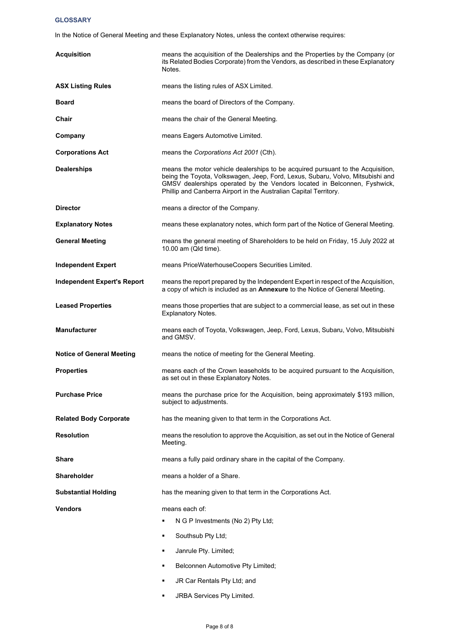#### **GLOSSARY**

In the Notice of General Meeting and these Explanatory Notes, unless the context otherwise requires:

| <b>Acquisition</b>                 | means the acquisition of the Dealerships and the Properties by the Company (or<br>its Related Bodies Corporate) from the Vendors, as described in these Explanatory<br>Notes.                                                                                                                                      |
|------------------------------------|--------------------------------------------------------------------------------------------------------------------------------------------------------------------------------------------------------------------------------------------------------------------------------------------------------------------|
| <b>ASX Listing Rules</b>           | means the listing rules of ASX Limited.                                                                                                                                                                                                                                                                            |
| <b>Board</b>                       | means the board of Directors of the Company.                                                                                                                                                                                                                                                                       |
| Chair                              | means the chair of the General Meeting.                                                                                                                                                                                                                                                                            |
| Company                            | means Eagers Automotive Limited.                                                                                                                                                                                                                                                                                   |
| <b>Corporations Act</b>            | means the Corporations Act 2001 (Cth).                                                                                                                                                                                                                                                                             |
| <b>Dealerships</b>                 | means the motor vehicle dealerships to be acquired pursuant to the Acquisition,<br>being the Toyota, Volkswagen, Jeep, Ford, Lexus, Subaru, Volvo, Mitsubishi and<br>GMSV dealerships operated by the Vendors located in Belconnen, Fyshwick,<br>Phillip and Canberra Airport in the Australian Capital Territory. |
| <b>Director</b>                    | means a director of the Company.                                                                                                                                                                                                                                                                                   |
| <b>Explanatory Notes</b>           | means these explanatory notes, which form part of the Notice of General Meeting.                                                                                                                                                                                                                                   |
| <b>General Meeting</b>             | means the general meeting of Shareholders to be held on Friday, 15 July 2022 at<br>10.00 am (Qld time).                                                                                                                                                                                                            |
| <b>Independent Expert</b>          | means PriceWaterhouseCoopers Securities Limited.                                                                                                                                                                                                                                                                   |
| <b>Independent Expert's Report</b> | means the report prepared by the Independent Expert in respect of the Acquisition,<br>a copy of which is included as an Annexure to the Notice of General Meeting.                                                                                                                                                 |
| <b>Leased Properties</b>           | means those properties that are subject to a commercial lease, as set out in these<br><b>Explanatory Notes.</b>                                                                                                                                                                                                    |
|                                    |                                                                                                                                                                                                                                                                                                                    |
| <b>Manufacturer</b>                | means each of Toyota, Volkswagen, Jeep, Ford, Lexus, Subaru, Volvo, Mitsubishi<br>and GMSV.                                                                                                                                                                                                                        |
| <b>Notice of General Meeting</b>   | means the notice of meeting for the General Meeting.                                                                                                                                                                                                                                                               |
| <b>Properties</b>                  | means each of the Crown leaseholds to be acquired pursuant to the Acquisition,<br>as set out in these Explanatory Notes.                                                                                                                                                                                           |
| <b>Purchase Price</b>              | means the purchase price for the Acquisition, being approximately \$193 million,<br>subject to adjustments.                                                                                                                                                                                                        |
| <b>Related Body Corporate</b>      | has the meaning given to that term in the Corporations Act.                                                                                                                                                                                                                                                        |
| <b>Resolution</b>                  | means the resolution to approve the Acquisition, as set out in the Notice of General<br>Meeting.                                                                                                                                                                                                                   |
| Share                              | means a fully paid ordinary share in the capital of the Company.                                                                                                                                                                                                                                                   |
| Shareholder                        | means a holder of a Share.                                                                                                                                                                                                                                                                                         |
| <b>Substantial Holding</b>         | has the meaning given to that term in the Corporations Act.                                                                                                                                                                                                                                                        |
| <b>Vendors</b>                     | means each of:                                                                                                                                                                                                                                                                                                     |
|                                    | N G P Investments (No 2) Pty Ltd;<br>٠                                                                                                                                                                                                                                                                             |
|                                    | Southsub Pty Ltd;<br>٠                                                                                                                                                                                                                                                                                             |
|                                    | Janrule Pty. Limited,<br>٠                                                                                                                                                                                                                                                                                         |
|                                    | Belconnen Automotive Pty Limited;                                                                                                                                                                                                                                                                                  |
|                                    | JR Car Rentals Pty Ltd; and<br>٠                                                                                                                                                                                                                                                                                   |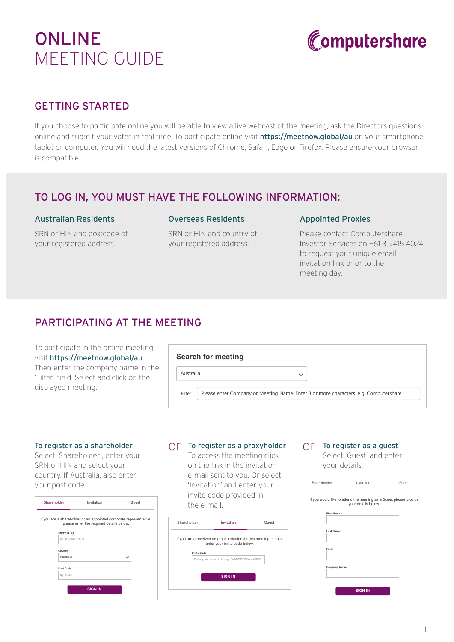# ONLINE MEETING GUIDE



### GETTING STARTED

If you choose to participate online you will be able to view a live webcast of the meeting, ask the Directors questions online and submit your votes in real time. To participate online visit **https://meetnow.global/au** on your smartphone, tablet or computer. You will need the latest versions of Chrome, Safari, Edge or Firefox. Please ensure your browser is compatible.

### TO LOG IN, YOU MUST HAVE THE FOLLOWING INFORMATION:

#### Australian Residents

SRN or HIN and postcode of your registered address.

#### Overseas Residents

SRN or HIN and country of your registered address.

#### Appointed Proxies

Please contact Computershare Investor Services on +61 3 9415 4024 to request your unique email invitation link prior to the meeting day.

### PARTICIPATING AT THE MEETING

To participate in the online meeting, visit https://meetnow.global/au. Then enter the company name in the 'Filter' field. Select and click on the displayed meeting.

|           | <b>Search for meeting</b>                                                            |  |
|-----------|--------------------------------------------------------------------------------------|--|
| Australia | $\checkmark$                                                                         |  |
| Filter    | Please enter Company or Meeting Name. Enter 3 or more characters. e.g. Computershare |  |

L,

#### To register as a shareholder

Select 'Shareholder', enter your SRN or HIN and select your country. If Australia, also enter your post code.

| Shareholder          | Invitation                               | Guest                                                              |
|----------------------|------------------------------------------|--------------------------------------------------------------------|
|                      | please enter the required details below. | If you are a shareholder or an appointed corporate representative, |
| SRN/HIN ®            |                                          |                                                                    |
| eg. X1234567890      |                                          |                                                                    |
| Country<br>Australia |                                          | $\checkmark$                                                       |
| Post Code            |                                          |                                                                    |
| eg. 0123             |                                          |                                                                    |
|                      | <b>SIGN IN</b>                           |                                                                    |

## $\bigcirc$  To register as a proxyholder  $\bigcirc$  To register as a guest

To access the meeting click on the link in the invitation e-mail sent to you. Or select 'Invitation' and enter your invite code provided in the e-mail.



Select 'Guest' and enter your details.

| Shareholder         | Invitation                                                                               | Guest |
|---------------------|------------------------------------------------------------------------------------------|-------|
|                     | If you would like to attend the meeting as a Guest please provide<br>your details below. |       |
| First Name*         |                                                                                          |       |
| Last Name*          |                                                                                          |       |
| Email               |                                                                                          |       |
| <b>Company Name</b> |                                                                                          |       |
|                     | <b>SIGN IN</b>                                                                           |       |
|                     |                                                                                          |       |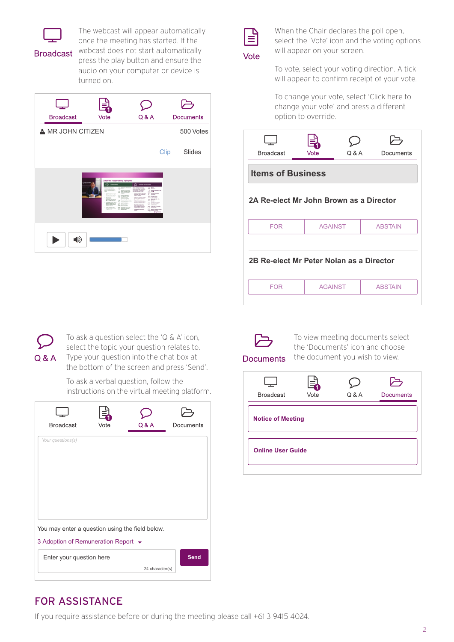

**Broadcast** 

The webcast will appear automatically once the meeting has started. If the webcast does not start automatically press the play button and ensure the audio on your computer or device is turned on.





When the Chair declares the poll open, select the 'Vote' icon and the voting options will appear on your screen.

To vote, select your voting direction. A tick will appear to confirm receipt of your vote.

To change your vote, select 'Click here to change your vote' and press a different option to override.

| <b>Broadcast</b>                         | Vote           | Q & A | Documents      |
|------------------------------------------|----------------|-------|----------------|
| <b>Items of Business</b>                 |                |       |                |
| 2A Re-elect Mr John Brown as a Director  |                |       |                |
| <b>FOR</b>                               | <b>AGAINST</b> |       | <b>ABSTAIN</b> |
| 2B Re-elect Mr Peter Nolan as a Director |                |       |                |
| <b>FOR</b>                               | <b>AGAINST</b> |       | <b>ABSTAIN</b> |
|                                          |                |       |                |



To ask a question select the 'Q & A' icon, select the topic your question relates to. Type your question into the chat box at the bottom of the screen and press 'Send'.

To ask a verbal question, follow the instructions on the virtual meeting platform.

| <b>Broadcast</b>                                                                       | Vote | Q & A           | Documents   |
|----------------------------------------------------------------------------------------|------|-----------------|-------------|
| Your questions(s)                                                                      |      |                 |             |
| You may enter a question using the field below.<br>3 Adoption of Remuneration Report ▼ |      |                 |             |
| Enter your question here                                                               |      | 24 character(s) | <b>Send</b> |



To view meeting documents select the 'Documents' icon and choose the document you wish to view.

**Documents** 



## FOR ASSISTANCE

If you require assistance before or during the meeting please call +61 3 9415 4024.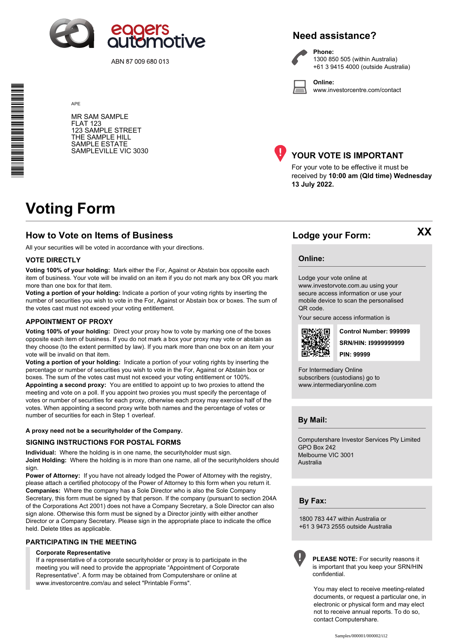

ABN 87 009 680 013

### **Need assistance?**

**Phone:**



1300 850 505 (within Australia) +61 3 9415 4000 (outside Australia)

**Online:** www.investorcentre.com/contact

MR SAM SAMPLE FLAT 123 123 SAMPLE STREET THE SAMPLE HILL SAMPLE ESTATE SAMPLEVILLE VIC 3030



### **YOUR VOTE IS IMPORTANT**

For your vote to be effective it must be received by **10:00 am (Qld time) Wednesday 13 July 2022.**

# **Voting Form**

APE

### **How to Vote on Items of Business Lodge your Form:**

All your securities will be voted in accordance with your directions.

#### **VOTE DIRECTLY**

**Voting 100% of your holding:** Mark either the For, Against or Abstain box opposite each item of business. Your vote will be invalid on an item if you do not mark any box OR you mark more than one box for that item.

**Voting a portion of your holding:** Indicate a portion of your voting rights by inserting the number of securities you wish to vote in the For, Against or Abstain box or boxes. The sum of the votes cast must not exceed your voting entitlement.

#### **APPOINTMENT OF PROXY**

**Voting 100% of your holding:** Direct your proxy how to vote by marking one of the boxes opposite each item of business. If you do not mark a box your proxy may vote or abstain as they choose (to the extent permitted by law). If you mark more than one box on an item your vote will be invalid on that item.

**Voting a portion of your holding:** Indicate a portion of your voting rights by inserting the percentage or number of securities you wish to vote in the For, Against or Abstain box or boxes. The sum of the votes cast must not exceed your voting entitlement or 100%. **Appointing a second proxy:** You are entitled to appoint up to two proxies to attend the meeting and vote on a poll. If you appoint two proxies you must specify the percentage of votes or number of securities for each proxy, otherwise each proxy may exercise half of the votes. When appointing a second proxy write both names and the percentage of votes or number of securities for each in Step 1 overleaf.

#### **A proxy need not be a securityholder of the Company.**

#### **SIGNING INSTRUCTIONS FOR POSTAL FORMS**

**Individual:** Where the holding is in one name, the securityholder must sign. **Joint Holding:** Where the holding is in more than one name, all of the securityholders should sign.

**Power of Attorney:** If you have not already lodged the Power of Attorney with the registry, please attach a certified photocopy of the Power of Attorney to this form when you return it. **Companies:** Where the company has a Sole Director who is also the Sole Company Secretary, this form must be signed by that person. If the company (pursuant to section 204A of the Corporations Act 2001) does not have a Company Secretary, a Sole Director can also sign alone. Otherwise this form must be signed by a Director jointly with either another Director or a Company Secretary. Please sign in the appropriate place to indicate the office held. Delete titles as applicable.

#### **PARTICIPATING IN THE MEETING**

#### **Corporate Representative**

If a representative of a corporate securityholder or proxy is to participate in the meeting you will need to provide the appropriate "Appointment of Corporate Representative". A form may be obtained from Computershare or online at www.investorcentre.com/au and select "Printable Forms".

**XX**

#### **Online:**

#### Lodge your vote online at

www.investorvote.com.au using your secure access information or use your mobile device to scan the personalised QR code.

Your secure access information is



**SRN/HIN: I9999999999 Control Number: 999999 PIN: 99999**

For Intermediary Online subscribers (custodians) go to www.intermediaryonline.com

**By Mail:**

Computershare Investor Services Pty Limited GPO Box 242 Melbourne VIC 3001 Australia

**By Fax:**

1800 783 447 within Australia or +61 3 9473 2555 outside Australia



**PLEASE NOTE:** For security reasons it is important that you keep your SRN/HIN confidential.

You may elect to receive meeting-related documents, or request a particular one, in electronic or physical form and may elect not to receive annual reports. To do so, contact Computershare.

\* M0000112<br>M000112